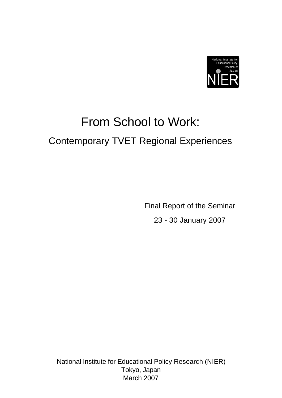

# From School to Work: Contemporary TVET Regional Experiences

Final Report of the Seminar 23 - 30 January 2007

National Institute for Educational Policy Research (NIER) Tokyo, Japan March 2007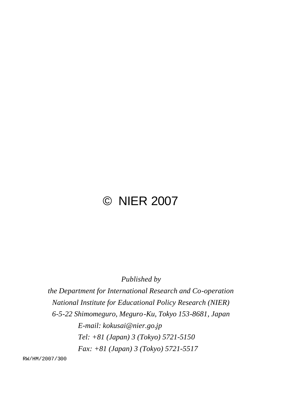## © NIER 2007

*Published by*

*the Department for International Research and Co-operation National Institute for Educational Policy Research (NIER) 6-5-22 Shimomeguro, Meguro-Ku, Tokyo 153-8681, Japan E-mail: kokusai@nier.go.jp Tel: +81 (Japan) 3 (Tokyo) 5721-5150 Fax: +81 (Japan) 3 (Tokyo) 5721-5517*

RW/HM/2007/300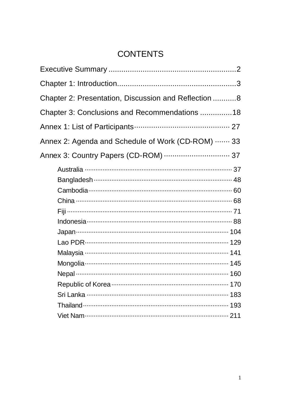### **CONTENTS**

| Chapter 2: Presentation, Discussion and Reflection 8 |  |
|------------------------------------------------------|--|
| Chapter 3: Conclusions and Recommendations 18        |  |
|                                                      |  |
| Annex 2: Agenda and Schedule of Work (CD-ROM)  33    |  |
| Annex 3: Country Papers (CD-ROM)  37                 |  |
|                                                      |  |
|                                                      |  |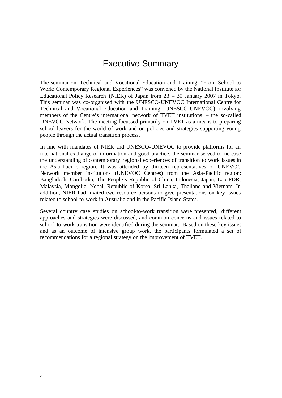### Executive Summary

The seminar on Technical and Vocational Education and Training "From School to Work: Contemporary Regional Experiences" was convened by the National Institute for Educational Policy Research (NIER) of Japan from 23 – 30 January 2007 in Tokyo. This seminar was co-organised with the UNESCO-UNEVOC International Centre for Technical and Vocational Education and Training (UNESCO-UNEVOC), involving members of the Centre's international network of TVET institutions – the so-called UNEVOC Network. The meeting focussed primarily on TVET as a means to preparing school leavers for the world of work and on policies and strategies supporting young people through the actual transition process.

In line with mandates of NIER and UNESCO-UNEVOC to provide platforms for an international exchange of information and good practice, the seminar served to increase the understanding of contemporary regional experiences of transition to work issues in the Asia-Pacific region. It was attended by thirteen representatives of UNEVOC Network member institutions (UNEVOC Centres) from the Asia-Pacific region: Bangladesh, Cambodia, The People's Republic of China, Indonesia, Japan, Lao PDR, Malaysia, Mongolia, Nepal, Republic of Korea, Sri Lanka, Thailand and Vietnam. In addition, NIER had invited two resource persons to give presentations on key issues related to school-to-work in Australia and in the Pacific Island States.

Several country case studies on school-to-work transition were presented, different approaches and strategies were discussed, and common concerns and issues related to school-to-work transition were identified during the seminar. Based on these key issues and as an outcome of intensive group work, the participants formulated a set of recommendations for a regional strategy on the improvement of TVET.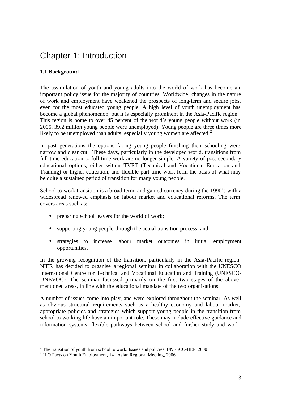### Chapter 1: Introduction

### **1.1 Background**

The assimilation of youth and young adults into the world of work has become an important policy issue for the majority of countries. Worldwide, changes in the nature of work and employment have weakened the prospects of long-term and secure jobs, even for the most educated young people. A high level of youth unemployment has become a global phenomenon, but it is especially prominent in the Asia-Pacific region.<sup>1</sup> This region is home to over 45 percent of the world's young people without work (in 2005, 39.2 million young people were unemployed). Young people are three times more likely to be unemployed than adults, especially young women are affected.<sup>2</sup>

In past generations the options facing young people finishing their schooling were narrow and clear cut. These days, particularly in the developed world, transitions from full time education to full time work are no longer simple. A variety of post-secondary educational options, either within TVET (Technical and Vocational Education and Training) or higher education, and flexible part-time work form the basis of what may be quite a sustained period of transition for many young people.

School-to-work transition is a broad term, and gained currency during the 1990's with a widespread renewed emphasis on labour market and educational reforms. The term covers areas such as:

- preparing school leavers for the world of work;
- supporting young people through the actual transition process; and
- strategies to increase labour market outcomes in initial employment opportunities.

In the growing recognition of the transition, particularly in the Asia-Pacific region, NIER has decided to organise a regional seminar in collaboration with the UNESCO International Centre for Technical and Vocational Education and Training (UNESCO-UNEVOC). The seminar focussed primarily on the first two stages of the abovementioned areas, in line with the educational mandate of the two organisations.

A number of issues come into play, and were explored throughout the seminar. As well as obvious structural requirements such as a healthy economy and labour market, appropriate policies and strategies which support young people in the transition from school to working life have an important role. These may include effective guidance and information systems, flexible pathways between school and further study and work,

l

 $<sup>1</sup>$  The transition of youth from school to work: Issues and policies. UNESCO-IIEP, 2000</sup>

<sup>&</sup>lt;sup>2</sup> ILO Facts on Youth Employment,  $14<sup>th</sup>$  Asian Regional Meeting, 2006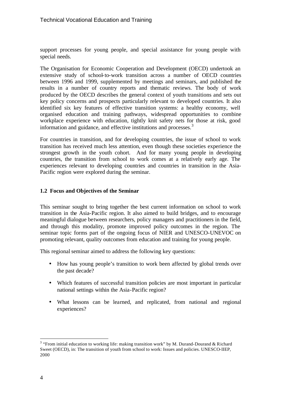support processes for young people, and special assistance for young people with special needs.

The Organisation for Economic Cooperation and Development (OECD) undertook an extensive study of school-to-work transition across a number of OECD countries between 1996 and 1999, supplemented by meetings and seminars, and published the results in a number of country reports and thematic reviews. The body of work produced by the OECD describes the general context of youth transitions and sets out key policy concerns and prospects particularly relevant to developed countries. It also identified six key features of effective transition systems: a healthy economy, well organised education and training pathways, widespread opportunities to combine workplace experience with education, tightly knit safety nets for those at risk, good information and guidance, and effective institutions and processes.<sup>3</sup>

For countries in transition, and for developing countries, the issue of school to work transition has received much less attention, even though these societies experience the strongest growth in the youth cohort. And for many young people in developing countries, the transition from school to work comes at a relatively early age. The experiences relevant to developing countries and countries in transition in the Asia-Pacific region were explored during the seminar.

#### **1.2 Focus and Objectives of the Seminar**

This seminar sought to bring together the best current information on school to work transition in the Asia-Pacific region. It also aimed to build bridges, and to encourage meaningful dialogue between researchers, policy managers and practitioners in the field, and through this modality, promote improved policy outcomes in the region. The seminar topic forms part of the ongoing focus of NIER and UNESCO-UNEVOC on promoting relevant, quality outcomes from education and training for young people.

This regional seminar aimed to address the following key questions:

- How has young people's transition to work been affected by global trends over the past decade?
- Which features of successful transition policies are most important in particular national settings within the Asia-Pacific region?
- What lessons can be learned, and replicated, from national and regional experiences?

l

<sup>&</sup>lt;sup>3</sup> "From initial education to working life: making transition work" by M. Durand-Dourand & Richard Sweet (OECD), in: The transition of youth from school to work: Issues and policies. UNESCO-IIEP, 2000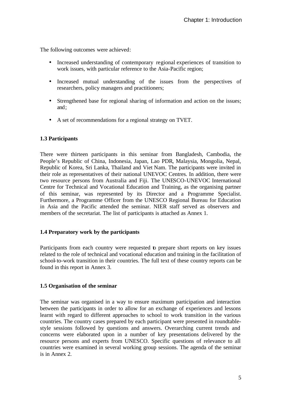The following outcomes were achieved:

- Increased understanding of contemporary regional experiences of transition to work issues, with particular reference to the Asia-Pacific region;
- Increased mutual understanding of the issues from the perspectives of researchers, policy managers and practitioners;
- Strengthened base for regional sharing of information and action on the issues; and;
- A set of recommendations for a regional strategy on TVET.

#### **1.3 Participants**

There were thirteen participants in this seminar from Bangladesh, Cambodia, the People's Republic of China, Indonesia, Japan, Lao PDR, Malaysia, Mongolia, Nepal, Republic of Korea, Sri Lanka, Thailand and Viet Nam. The participants were invited in their role as representatives of their national UNEVOC Centres. In addition, there were two resource persons from Australia and Fiji. The UNESCO-UNEVOC International Centre for Technical and Vocational Education and Training, as the organising partner of this seminar, was represented by its Director and a Programme Specialist. Furthermore, a Programme Officer from the UNESCO Regional Bureau for Education in Asia and the Pacific attended the seminar. NIER staff served as observers and members of the secretariat. The list of participants is attached as Annex 1.

#### **1.4 Preparatory work by the participants**

Participants from each country were requested to prepare short reports on key issues related to the role of technical and vocational education and training in the facilitation of school-to-work transition in their countries. The full text of these country reports can be found in this report in Annex 3.

#### **1.5 Organisation of the seminar**

The seminar was organised in a way to ensure maximum participation and interaction between the participants in order to allow for an exchange of experiences and lessons learnt with regard to different approaches to school to work transition in the various countries. The country cases prepared by each participant were presented in roundtablestyle sessions followed by questions and answers. Overarching current trends and concerns were elaborated upon in a number of key presentations delivered by the resource persons and experts from UNESCO. Specific questions of relevance to all countries were examined in several working group sessions. The agenda of the seminar is in Annex 2.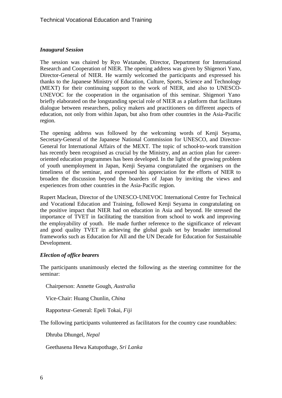#### *Inaugural Session*

The session was chaired by Ryo Watanabe, Director, Department for International Research and Cooperation of NIER. The opening address was given by Shigenori Yano, Director-General of NIER. He warmly welcomed the participants and expressed his thanks to the Japanese Ministry of Education, Culture, Sports, Science and Technology (MEXT) for their continuing support to the work of NIER, and also to UNESCO-UNEVOC for the cooperation in the organisation of this seminar. Shigenori Yano briefly elaborated on the longstanding special role of NIER as a platform that facilitates dialogue between researchers, policy makers and practitioners on different aspects of education, not only from within Japan, but also from other countries in the Asia-Pacific region.

The opening address was followed by the welcoming words of Kenji Seyama, Secretary-General of the Japanese National Commission for UNESCO, and Director-General for International Affairs of the MEXT. The topic of school-to-work transition has recently been recognised as crucial by the Ministry, and an action plan for careeroriented education programmes has been developed. In the light of the growing problem of youth unemployment in Japan, Kenji Seyama congratulated the organisers on the timeliness of the seminar, and expressed his appreciation for the efforts of NIER to broaden the discussion beyond the boarders of Japan by inviting the views and experiences from other countries in the Asia-Pacific region.

Rupert Maclean, Director of the UNESCO-UNEVOC International Centre for Technical and Vocational Education and Training, followed Kenji Seyama in congratulating on the positive impact that NIER had on education in Asia and beyond. He stressed the importance of TVET in facilitating the transition from school to work and improving the employability of youth. He made further reference to the significance of relevant and good quality TVET in achieving the global goals set by broader international frameworks such as Education for All and the UN Decade for Education for Sustainable Development.

#### *Election of office bearers*

The participants unanimously elected the following as the steering committee for the seminar:

Chairperson: Annette Gough, *Australia*

Vice-Chair: Huang Chunlin, *China*

Rapporteur-General: Epeli Tokai, *Fiji*

The following participants volunteered as facilitators for the country case roundtables:

Dhruba Dhungel, *Nepal*

Geethasena Hewa Katupothage, *Sri Lanka*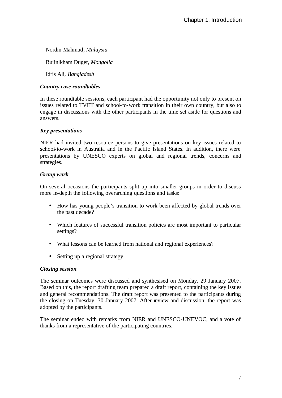Nordin Mahmud, *Malaysia*

Bujinlkham Duger, *Mongolia*

Idris Ali, *Bangladesh*

#### *Country case roundtables*

In these roundtable sessions, each participant had the opportunity not only to present on issues related to TVET and school-to-work transition in their own country, but also to engage in discussions with the other participants in the time set aside for questions and answers.

#### *Key presentations*

NIER had invited two resource persons to give presentations on key issues related to school-to-work in Australia and in the Pacific Island States. In addition, there were presentations by UNESCO experts on global and regional trends, concerns and strategies.

#### *Group work*

On several occasions the participants split up into smaller groups in order to discuss more in-depth the following overarching questions and tasks:

- How has young people's transition to work been affected by global trends over the past decade?
- Which features of successful transition policies are most important to particular settings?
- What lessons can be learned from national and regional experiences?
- Setting up a regional strategy.

#### *Closing session*

The seminar outcomes were discussed and synthesised on Monday, 29 January 2007. Based on this, the report drafting team prepared a draft report, containing the key issues and general recommendations. The draft report was presented to the participants during the closing on Tuesday, 30 January 2007. After review and discussion, the report was adopted by the participants.

The seminar ended with remarks from NIER and UNESCO-UNEVOC, and a vote of thanks from a representative of the participating countries.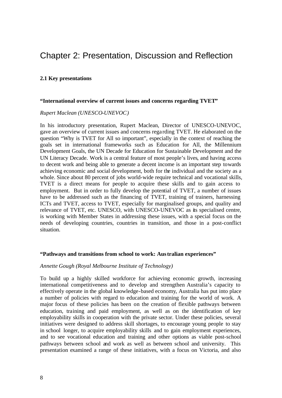### Chapter 2: Presentation, Discussion and Reflection

#### **2.1 Key presentations**

#### **"International overview of current issues and concerns regarding TVET"**

#### *Rupert Maclean (UNESCO-UNEVOC)*

In his introductory presentation, Rupert Maclean, Director of UNESCO-UNEVOC, gave an overview of current issues and concerns rega rding TVET. He elaborated on the question "Why is TVET for All so important", especially in the context of reaching the goals set in international frameworks such as Education for All, the Millennium Development Goals, the UN Decade for Education for Sustainable Development and the UN Literacy Decade. Work is a central feature of most people's lives, and having access to decent work and being able to generate a decent income is an important step towards achieving economic and social development, both for the individual and the society as a whole. Since about 80 percent of jobs world-wide require technical and vocational skills, TVET is a direct means for people to acquire these skills and to gain access to employment. But in order to fully develop the potential of TVET, a number of issues have to be addressed such as the financing of TVET, training of trainers, harnessing ICTs and TVET, access to TVET, especially for marginalised groups, and quality and relevance of TVET, etc. UNESCO, with UNESCO-UNEVOC as its specialised centre, is working with Member States in addressing these issues, with a special focus on the needs of developing countries, countries in transition, and those in a post-conflict situation.

#### **"Pathways and transitions from school to work: Australian experiences"**

#### *Annette Gough (Royal Melbourne Institute of Technology)*

To build up a highly skilled workforce for achieving economic growth, increasing international competitiveness and to develop and strengthen Australia's capacity to effectively operate in the global knowledge-based economy, Australia has put into place a number of policies with regard to education and training for the world of work. A major focus of these policies has been on the creation of flexible pathways between education, training and paid employment, as well as on the identification of key employability skills in cooperation with the private sector. Under these policies, several initiatives were designed to address skill shortages, to encourage young people to stay in school longer, to acquire employability skills and to gain employment experiences, and to see vocational education and training and other options as viable post-school pathways between school and work as well as between school and university. This presentation examined a range of these initiatives, with a focus on Victoria, and also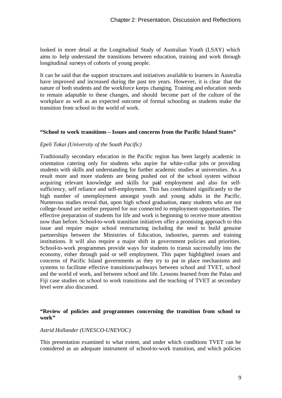looked in more detail at the Longitudinal Study of Australian Youth (LSAY) which aims to help understand the transitions between education, training and work through longitudinal surveys of cohorts of young people.

It can be said that the support structures and initiatives available to learners in Australia have improved and increased during the past ten years. However, it is clear that the nature of both students and the workforce keeps changing. Training and education needs to remain adaptable to these changes, and should become part of the culture of the workplace as well as an expected outcome of formal schooling as students make the transition from school to the world of work.

#### **"School to work transitions – Issues and concerns from the Pacific Island States"**

#### *Epeli Tokai (University of the South Pacific)*

Traditionally secondary education in the Pacific region has been largely academic in orientation catering only for students who aspire for white-collar jobs or providing students with skills and understanding for further academic studies at universities. As a result more and more students are being pushed out of the school system without acquiring relevant knowledge and skills for paid employment and also for selfsufficiency, self reliance and self-employment. This has contributed significantly to the high number of unemployment amongst youth and young adults in the Pacific. Numerous studies reveal that, upon high school graduation, many students who are not college-bound are neither prepared for nor connected to employment opportunities. The effective preparation of students for life and work is beginning to receive more attention now than before. School-to-work transition initiatives offer a promising approach to this issue and require major school restructuring including the need to build genuine partnerships between the Ministries of Education, industries, parents and training institutions. It will also require a major shift in government policies and priorities. School-to-work programmes provide ways for students to transit successfully into the economy, either through paid or self employment. This paper highlighted issues and concerns of Pacific Island governments as they try to put in place mechanisms and systems to facilitate effective transitions/pathways between school and TVET, school and the world of work, and between school and life. Lessons learned from the Palau and Fiji case studies on school to work transitions and the teaching of TVET at secondary level were also discussed.

#### **"Review of policies and programmes concerning the transition from school to work"**

#### *Astrid Hollander (UNESCO-UNEVOC)*

This presentation examined to what extent, and under which conditions TVET can be considered as an adequate instrument of school-to-work transition, and which policies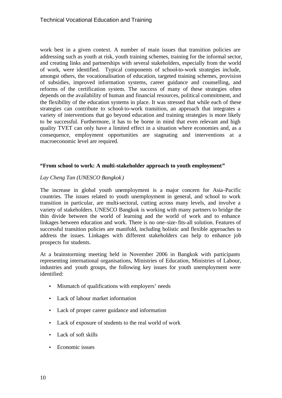work best in a given context. A number of main issues that transition policies are addressing such as youth at risk, youth training schemes, training for the informal sector, and creating links and partnerships with several stakeholders, especially from the world of work, were identified. Typical components of school-to-work strategies include, amongst others, the vocationalisation of education, targeted training schemes, provision of subsidies, improved information systems, career guidance and counselling, and reforms of the certification system. The success of many of these strategies often depends on the availability of human and financial resources, political commitment, and the flexibility of the education systems in place. It was stressed that while each of these strategies can contribute to school-to-work transition, an approach that integrates a variety of interventions that go beyond education and training strategies is more likely to be successful. Furthermore, it has to be borne in mind that even relevant and high quality TVET can only have a limited effect in a situation where economies and, as a consequence, employment opportunities are stagnating and interventions at a macroeconomic level are required.

#### **"From school to work: A multi-stakeholder approach to youth employment"**

#### *Lay Cheng Tan (UNESCO Bangkok )*

The increase in global youth unemployment is a major concern for Asia-Pacific countries. The issues related to youth unemployment in general, and school to work transition in particular, are multi-sectoral, cutting across many levels, and involve a variety of stakeholders. UNESCO Bangkok is working with many partners to bridge the thin divide between the world of learning and the world of work and to enhance linkages between education and work. There is no one-size-fits-all solution. Features of successful transition policies are manifold, including holistic and flexible approaches to address the issues. Linkages with different stakeholders can help to enhance job prospects for students.

At a brainstorming meeting held in November 2006 in Bangkok with participants representing international organisations, Ministries of Education, Ministries of Labour, industries and youth groups, the following key issues for youth unemployment were identified:

- Mismatch of qualifications with employers' needs
- Lack of labour market information
- Lack of proper career guidance and information
- Lack of exposure of students to the real world of work
- Lack of soft skills
- Economic issues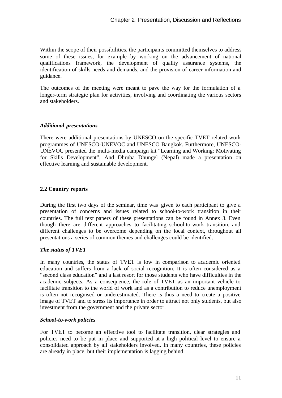Within the scope of their possibilities, the participants committed themselves to address some of these issues, for example by working on the advancement of national qualifications framework, the development of quality assurance systems, the identification of skills needs and demands, and the provision of career information and guidance.

The outcomes of the meeting were meant to pave the way for the formulation of a longer-term strategic plan for activities, involving and coordinating the various sectors and stakeholders.

#### *Additional presentations*

There were additional presentations by UNESCO on the specific TVET related work programmes of UNESCO-UNEVOC and UNESCO Bangkok. Furthermore, UNESCO-UNEVOC presented the multi-media campaign kit "Learning and Working: Motivating for Skills Development". And Dhruba Dhungel (Nepal) made a presentation on effective learning and sustainable development.

#### **2.2 Country reports**

During the first two days of the seminar, time was given to each participant to give a presentation of concerns and issues related to school-to-work transition in their countries. The full text papers of these presentations can be found in Annex 3. Even though there are different approaches to facilitating school-to-work transition, and different challenges to be overcome depending on the local context, throughout all presentations a series of common themes and challenges could be identified.

#### *The status of TVET*

In many countries, the status of TVET is low in comparison to academic oriented education and suffers from a lack of social recognition. It is often considered as a "second class education" and a last resort for those students who have difficulties in the academic subjects. As a consequence, the role of TVET as an important vehicle to facilitate transition to the world of work and as a contribution to reduce unemployment is often not recognised or underestimated. There is thus a need to create a positive image of TVET and to stress its importance in order to attract not only students, but also investment from the government and the private sector.

#### *School-to-work policies*

For TVET to become an effective tool to facilitate transition, clear strategies and policies need to be put in place and supported at a high political level to ensure a consolidated approach by all stakeholders involved. In many countries, these policies are already in place, but their implementation is lagging behind.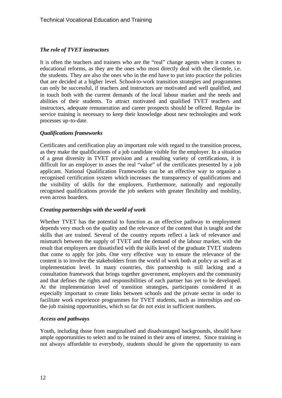#### *The role of TVET instructors*

It is often the teachers and trainers who are the "real" change agents when it comes to educational reforms, as they are the ones who most directly deal with the clientele, i.e. the students. They are also the ones who in the end have to put into practice the policies that are decided at a higher level. School-to-work transition strategies and programmes can only be successful, if teachers and instructors are motivated and well qualified, and in touch both with the current demands of the local labour market and the needs and abilities of their students. To attract motivated and qualified TVET teachers and instructors, adequate remuneration and career prospects should be offered. Regular inservice training is necessary to keep their knowledge about new technologies and work processes up-to-date.

#### *Qualifications frameworks*

Certificates and certification play an important role with regard to the transition process, as they make the qualifications of a job candidate visible for the employer. In a situation of a great diversity in TVET provision and a resulting variety of certifications, it is difficult for an employer to asses the real "value" of the certificates presented by a job applicant. National Qualification Frameworks can be an effective way to organise a recognised certification system which increases the transparency of qualifications and the visibility of skills for the employers. Furthermore, nationally and regionally recognised qualifications provide the job seekers with greater flexibility and mobility, even across boarders.

#### *Creating partnerships with the world of work*

Whether TVET has the potential to function as an effective pathway to employment depends very much on the quality and the relevance of the content that is taught and the skills that are trained. Several of the country reports reflect a lack of relevance and mismatch between the supply of TVET and the demand of the labour market, with the result that employers are dissatisfied with the skills level of the graduate TVET students that come to apply for jobs. One very effective way to ensure the relevance of the content is to involve the stakeholders from the world of work both at policy as well as at implementation level. In many countries, this partnership is still lacking and a consultation framework that brings together government, employers and the community and that defines the rights and responsibilities of each partner has yet to be developed. At the implementation level of transition strategies, participants considered it as especially important to create links between schools and the private sector in order to facilitate work experience programmes for TVET students, such as internships and onthe-job training opportunities, which so far do not exist in sufficient numbers.

#### *Access and pathways*

Youth, including those from marginalised and disadvantaged backgrounds, should have ample opportunities to select and to be trained in their area of interest. Since training is not always affordable to everybody, students should be given the opportunity to earn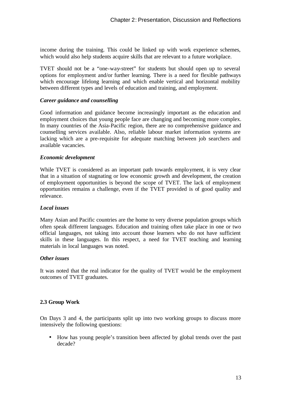income during the training. This could be linked up with work experience schemes, which would also help students acquire skills that are relevant to a future workplace.

TVET should not be a "one-way-street" for students but should open up to several options for employment and/or further learning. There is a need for flexible pathways which encourage lifelong learning and which enable vertical and horizontal mobility between different types and levels of education and training, and employment.

#### *Career guidance and counselling*

Good information and guidance become increasingly important as the education and employment choices that young people face are changing and becoming more complex. In many countries of the Asia-Pacific region, there are no comprehensive guidance and counselling services available. Also, reliable labour market information systems are lacking which are a pre-requisite for adequate matching between job searchers and available vacancies.

#### *Economic development*

While TVET is considered as an important path towards employment, it is very clear that in a situation of stagnating or low economic growth and development, the creation of employment opportunities is beyond the scope of TVET. The lack of employment opportunities remains a challenge, even if the TVET provided is of good quality and relevance.

#### *Local issues*

Many Asian and Pacific countries are the home to very diverse population groups which often speak different languages. Education and training often take place in one or two official languages, not taking into account those learners who do not have sufficient skills in these languages. In this respect, a need for TVET teaching and learning materials in local languages was noted.

#### *Other issues*

It was noted that the real indicator for the quality of TVET would be the employment outcomes of TVET graduates.

#### **2.3 Group Work**

On Days 3 and 4, the participants split up into two working groups to discuss more intensively the following questions:

• How has young people's transition been affected by global trends over the past decade?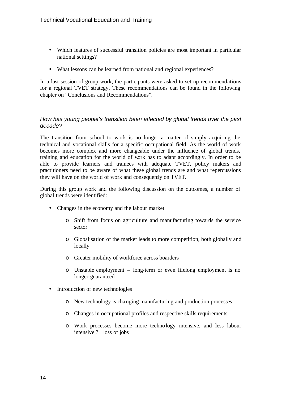- Which features of successful transition policies are most important in particular national settings?
- What lessons can be learned from national and regional experiences?

In a last session of group work, the participants were asked to set up recommendations for a regional TVET strategy. These recommendations can be found in the following chapter on "Conclusions and Recommendations".

#### *How has young people's transition been affected by global trends over the past decade?*

The transition from school to work is no longer a matter of simply acquiring the technical and vocational skills for a specific occupational field. As the world of work becomes more complex and more changeable under the influence of global trends, training and education for the world of work has to adapt accordingly. In order to be able to provide learners and trainees with adequate TVET, policy makers and practitioners need to be aware of what these global trends are and what repercussions they will have on the world of work and consequently on TVET.

During this group work and the following discussion on the outcomes, a number of global trends were identified:

- Changes in the economy and the labour market
	- o Shift from focus on agriculture and manufacturing towards the service sector
	- o Globalisation of the market leads to more competition, both globally and locally
	- o Greater mobility of workforce across boarders
	- o Unstable employment long-term or even lifelong employment is no longer guaranteed
- Introduction of new technologies
	- o New technology is changing manufacturing and production processes
	- o Changes in occupational profiles and respective skills requirements
	- o Work processes become more technology intensive, and less labour intensive ? loss of jobs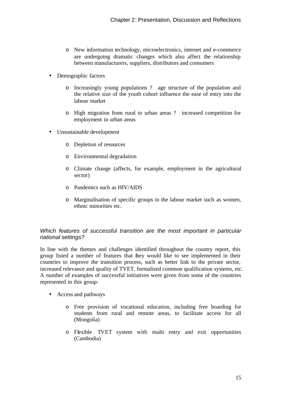- o New information technology, microelectronics, internet and e-commerce are undergoing dramatic changes which also affect the relationship between manufacturers, suppliers, distributors and consumers
- Demographic factors
	- o Increasingly young populations ? age structure of the population and the relative size of the youth cohort influence the ease of entry into the labour market
	- o High migration from rural to urban areas ? increased competition for employment in urban areas
- Unsustainable development
	- o Depletion of resources
	- o Environmental degradation
	- o Climate change (affects, for example, employment in the agricultural sector)
	- o Pandemics such as HIV/AIDS
	- o Marginalisation of specific groups in the labour market such as women, ethnic minorities etc.

#### *Which features of successful transition are the most important in particular national settings?*

In line with the themes and challenges identified throughout the country report, this group listed a number of features that they would like to see implemented in their countries to improve the transition process, such as better link to the private sector, increased relevance and quality of TVET, formalised common qualification systems, etc. A number of examples of successful initiatives were given from some of the countries represented in this group:

- Access and pathways
	- o Free provision of vocational education, including free boarding for students from rural and remote areas, to facilitate access for all (Mongolia)
	- o Flexible TVET system with multi entry and exit opportunities (Cambodia)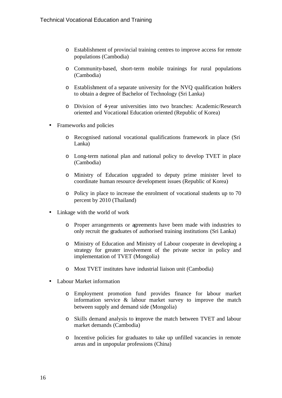- o Establishment of provincial training centres to improve access for remote populations (Cambodia)
- o Community-based, short-term mobile trainings for rural populations (Cambodia)
- o Establishment of a separate university for the NVQ qualification holders to obtain a degree of Bachelor of Technology (Sri Lanka)
- o Division of 4-year universities into two branches: Academic/Research oriented and Vocational Education oriented (Republic of Korea)
- Frameworks and policies
	- o Recognised national vocational qualifications framework in place (Sri Lanka)
	- o Long-term national plan and national policy to develop TVET in place (Cambodia)
	- o Ministry of Education upgraded to deputy prime minister level to coordinate human resource development issues (Republic of Korea)
	- o Policy in place to increase the enrolment of vocational students up to 70 percent by 2010 (Thailand)
- Linkage with the world of work
	- o Proper arrangements or agreements have been made with industries to only recruit the graduates of authorised training institutions (Sri Lanka)
	- o Ministry of Education and Ministry of Labour cooperate in developing a strategy for greater involvement of the private sector in policy and implementation of TVET (Mongolia)
	- o Most TVET institutes have industrial liaison unit (Cambodia)
- Labour Market information
	- o Employment promotion fund provides finance for labour market information service & labour market survey to improve the match between supply and demand side (Mongolia)
	- o Skills demand analysis to improve the match between TVET and labour market demands (Cambodia)
	- o Incentive policies for graduates to take up unfilled vacancies in remote areas and in unpopular professions (China)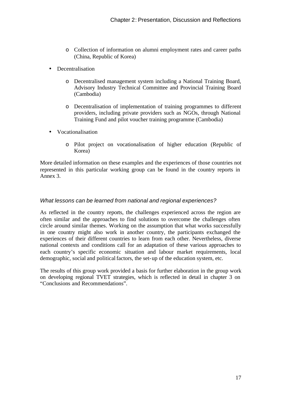- o Collection of information on alumni employment rates and career paths (China, Republic of Korea)
- Decentralisation
	- o Decentralised management system including a National Training Board, Advisory Industry Technical Committee and Provincial Training Board (Cambodia)
	- o Decentralisation of implementation of training programmes to different providers, including private providers such as NGOs, through National Training Fund and pilot voucher training programme (Cambodia)
- Vocationalisation
	- o Pilot project on vocationalisation of higher education (Republic of Korea)

More detailed information on these examples and the experiences of those countries not represented in this particular working group can be found in the country reports in Annex 3.

#### *What lessons can be learned from national and regional experiences?*

As reflected in the country reports, the challenges experienced across the region are often similar and the approaches to find solutions to overcome the challenges often circle around similar themes. Working on the assumption that what works successfully in one country might also work in another country, the participants exchanged the experiences of their different countries to learn from each other. Nevertheless, diverse national contexts and conditions call for an adaptation of these various approaches to each country's specific economic situation and labour market requirements, local demographic, social and political factors, the set-up of the education system, etc.

The results of this group work provided a basis for further elaboration in the group work on developing regional TVET strategies, which is reflected in detail in chapter 3 on "Conclusions and Recommendations".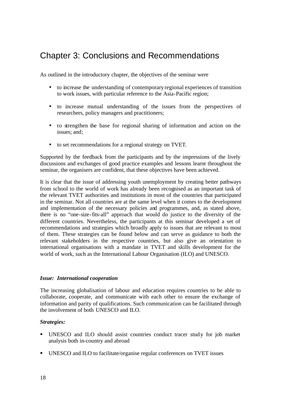### Chapter 3: Conclusions and Recommendations

As outlined in the introductory chapter, the objectives of the seminar were

- to increase the understanding of contemporary regional experiences of transition to work issues, with particular reference to the Asia-Pacific region;
- to increase mutual understanding of the issues from the perspectives of researchers, policy managers and practitioners;
- to strengthen the base for regional sharing of information and action on the issues; and;
- to set recommendations for a regional strategy on TVET.

Supported by the feedback from the participants and by the impressions of the lively discussions and exchanges of good practice examples and lessons learnt throughout the seminar, the organisers are confident, that these objectives have been achieved.

It is clear that the issue of addressing youth unemployment by creating better pathways from school to the world of work has already been recognised as an important task of the relevant TVET authorities and institutions in most of the countries that participated in the seminar. Not all countries are at the same level when it comes to the development and implementation of the necessary policies and programmes, and, as stated above, there is no "one-size-fits-all" approach that would do justice to the diversity of the different countries. Nevertheless, the participants at this seminar developed a set of recommendations and strategies which broadly apply to issues that are relevant to most of them. These strategies can be found below and can serve as guidance to both the relevant stakeholders in the respective countries, but also give an orientation to international organisations with a mandate in TVET and skills development for the world of work, such as the International Labour Organisation (ILO) and UNESCO.

#### *Issue: International cooperation*

The increasing globalisation of labour and education requires countries to be able to collaborate, cooperate, and communicate with each other to ensure the exchange of information and parity of qualifications. Such communication can be facilitated through the involvement of both UNESCO and ILO.

#### *Strategies:*

- ß UNESCO and ILO should assist countries conduct tracer study for job market analysis both in-country and abroad
- **UNESCO** and ILO to facilitate/organise regular conferences on TVET issues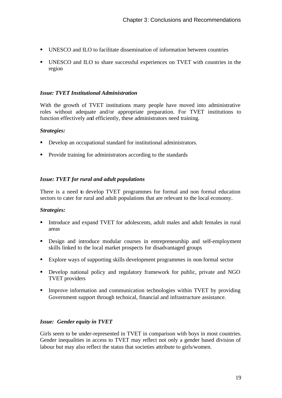- ß UNESCO and ILO to facilitate dissemination of information between countries
- ß UNESCO and ILO to share successful experiences on TVET with countries in the region

#### *Issue: TVET Institutional Administration*

With the growth of TVET institutions many people have moved into administrative roles without adequate and/or appropriate preparation. For TVET institutions to function effectively and efficiently, these administrators need training.

#### *Strategies:*

- Develop an occupational standard for institutional administrators.
- Provide training for administrators according to the standards

#### *Issue: TVET for rural and adult populations*

There is a need to develop TVET programmes for formal and non formal education sectors to cater for rural and adult populations that are relevant to the local economy.

#### *Strategies:*

- Introduce and expand TVET for adolescents, adult males and adult females in rural areas
- **•** Design and introduce modular courses in entrepreneurship and self-employment skills linked to the local market prospects for disadvantaged groups
- Explore ways of supporting skills development programmes in non-formal sector
- **•** Develop national policy and regulatory framework for public, private and NGO TVET providers
- **IMPROVE** Information and communication technologies within TVET by providing Government support through technical, financial and infrastructure assistance.

#### *Issue: Gender equity in TVET*

Girls seem to be under-represented in TVET in comparison with boys in most countries. Gender inequalities in access to TVET may reflect not only a gender based division of labour but may also reflect the status that societies attribute to girls/women.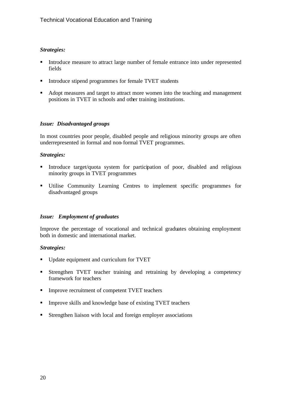#### *Strategies:*

- Introduce measure to attract large number of female entrance into under represented fields
- Introduce stipend programmes for female TVET students
- Adopt measures and target to attract more women into the teaching and management positions in TVET in schools and other training institutions.

#### *Issue: Disadvantaged groups*

In most countries poor people, disabled people and religious minority groups are often underrepresented in formal and non-formal TVET programmes.

#### *Strategies:*

- ß Introduce target/quota system for participation of poor, disabled and religious minority groups in TVET programmes
- ß Utilise Community Learning Centres to implement specific programmes for disadvantaged groups

#### *Issue: Employment of graduates*

Improve the percentage of vocational and technical graduates obtaining employment both in domestic and international market.

#### *Strategies:*

- ß Update equipment and curriculum for TVET
- ß Strengthen TVET teacher training and retraining by developing a competency framework for teachers
- **IMPROVE recruitment of competent TVET teachers**
- Improve skills and knowledge base of existing TVET teachers
- $\blacksquare$  Strengthen liaison with local and foreign employer associations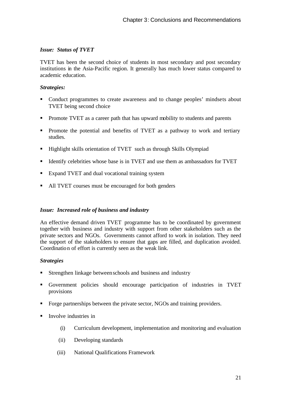#### *Issue: Status of TVET*

TVET has been the second choice of students in most secondary and post secondary institutions in the Asia-Pacific region. It generally has much lower status compared to academic education.

#### *Strategies:*

- ß Conduct programmes to create awareness and to change peoples' mindsets about TVET being second choice
- **•** Promote TVET as a career path that has upward mobility to students and parents
- Promote the potential and benefits of TVET as a pathway to work and tertiary studies.
- **Highlight skills orientation of TVET** such as through Skills Olympiad
- **IDENTIFY** Identify celebrities whose base is in TVET and use them as ambassadors for TVET
- Expand TVET and dual vocational training system
- All TVET courses must be encouraged for both genders

#### *Issue: Increased role of business and industry*

An effective demand driven TVET programme has to be coordinated by government together with business and industry with support from other stakeholders such as the private sectors and NGOs. Governments cannot afford to work in isolation. They need the support of the stakeholders to ensure that gaps are filled, and duplication avoided. Coordination of effort is currently seen as the weak link.

#### *Strategies*

- ß Strengthen linkage between schools and business and industry
- ß Government policies should encourage participation of industries in TVET provisions
- Forge partnerships between the private sector, NGOs and training providers.
- ß Involve industries in
	- (i) Curriculum development, implementation and monitoring and evaluation
	- (ii) Developing standards
	- (iii) National Qualifications Framework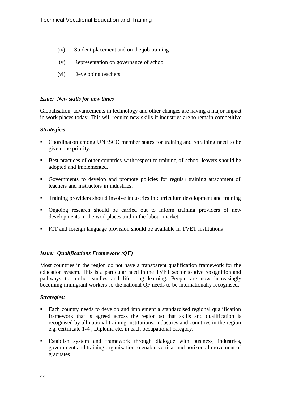- (iv) Student placement and on the job training
- (v) Representation on governance of school
- (vi) Developing teachers

#### *Issue: New skills for new times*

Globalisation, advancements in technology and other changes are having a major impact in work places today. This will require new skills if industries are to remain competitive.

#### *Strategie:s*

- ß Coordination among UNESCO member states for training and retraining need to be given due priority.
- Best practices of other countries with respect to training of school leavers should be adopted and implemented.
- Governments to develop and promote policies for regular training attachment of teachers and instructors in industries.
- **Training providers should involve industries in curriculum development and training**
- Ongoing research should be carried out to inform training providers of new developments in the workplaces and in the labour market.
- ICT and foreign language provision should be available in TVET institutions

#### *Issue: Qualifications Framework (QF)*

Most countries in the region do not have a transparent qualification framework for the education system. This is a particular need in the TVET sector to give recognition and pathways to further studies and life long learning. People are now increasingly becoming immigrant workers so the national QF needs to be internationally recognised.

#### *Strategies:*

- Each country needs to develop and implement a standardised regional qualification framework that is agreed across the region so that skills and qualification is recognised by all national training institutions, industries and countries in the region e.g. certificate 1-4 , Diploma etc. in each occupational category.
- ß Establish system and framework through dialogue with business, industries, government and training organisation to enable vertical and horizontal movement of graduates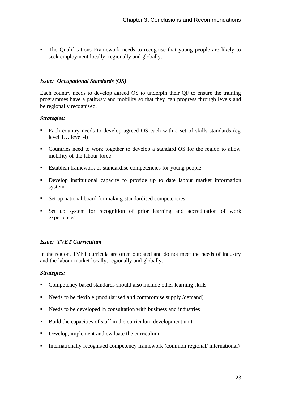ß The Qualifications Framework needs to recognise that young people are likely to seek employment locally, regionally and globally.

#### *Issue: Occupational Standards (OS)*

Each country needs to develop agreed OS to underpin their QF to ensure the training programmes have a pathway and mobility so that they can progress through levels and be regionally recognised.

#### *Strategies:*

- Each country needs to develop agreed OS each with a set of skills standards (eg level 1… level 4)
- Countries need to work together to develop a standard OS for the region to allow mobility of the labour force
- Establish framework of standardise competencies for young people
- **•** Develop institutional capacity to provide up to date labour market information system
- $\blacksquare$  Set up national board for making standardised competencies
- ß Set up system for recognition of prior learning and accreditation of work experiences

#### *Issue: TVET Curriculum*

In the region, TVET curricula are often outdated and do not meet the needs of industry and the labour market locally, regionally and globally.

#### *Strategies:*

- Competency-based standards should also include other learning skills
- $\blacksquare$  Needs to be flexible (modularised and compromise supply /demand)
- $\blacksquare$  Needs to be developed in consultation with business and industries
- Build the capacities of staff in the curriculum development unit
- Develop, implement and evaluate the curriculum
- **I** Internationally recognised competency framework (common regional) international)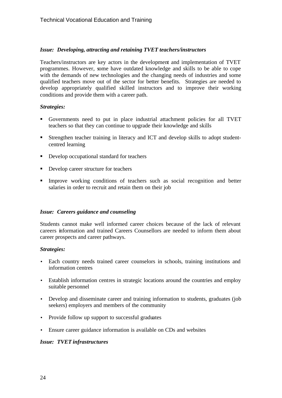#### *Issue: Developing, attracting and retaining TVET teachers/instructors*

Teachers/instructors are key actors in the development and implementation of TVET programmes. However, some have outdated knowledge and skills to be able to cope with the demands of new technologies and the changing needs of industries and some qualified teachers move out of the sector for better benefits. Strategies are needed to develop appropriately qualified skilled instructors and to improve their working conditions and provide them with a career path.

#### *Strategies:*

- ß Governments need to put in place industrial attachment policies for all TVET teachers so that they can continue to upgrade their knowledge and skills
- **Strengthen teacher training in literacy and ICT and develop skills to adopt student**centred learning
- **•** Develop occupational standard for teachers
- Develop career structure for teachers
- **Improve** working conditions of teachers such as social recognition and better salaries in order to recruit and retain them on their job

#### *Issue: Careers guidance and counseling*

Students cannot make well informed career choices because of the lack of relevant careers information and trained Careers Counsellors are needed to inform them about career prospects and career pathways.

#### *Strategies:*

- Each country needs trained career counselors in schools, training institutions and information centres
- Establish information centres in strategic locations around the countries and employ suitable personnel
- Develop and disseminate career and training information to students, graduates (job seekers) employers and members of the community
- Provide follow up support to successful graduates
- Ensure career guidance information is available on CDs and websites

#### *Issue: TVET infrastructures*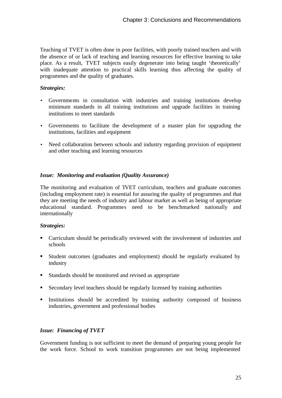Teaching of TVET is often done in poor facilities, with poorly trained teachers and with the absence of or lack of teaching and learning resources for effective learning to take place. As a result, TVET subjects easily degenerate into being taught 'theoretically' with inadequate attention to practical skills learning thus affecting the quality of programmes and the quality of graduates.

#### *Strategies:*

- Governments in consultation with industries and training institutions develop minimum standards in all training institutions and upgrade facilities in training institutions to meet standards
- Governments to facilitate the development of a master plan for upgrading the institutions, facilities and equipment
- Need collaboration between schools and industry regarding provision of equipment and other teaching and learning resources

#### *Issue: Monitoring and evaluation (Quality Assurance)*

The monitoring and evaluation of TVET curriculum, teachers and graduate outcomes (including employment rate) is essential for assuring the quality of programmes and that they are meeting the needs of industry and labour market as well as being of appropriate educational standard. Programmes need to be benchmarked nationally and internationally

#### *Strategies:*

- ß Curriculum should be periodically reviewed with the involvement of industries and schools
- **Student outcomes (graduates and employment) should be regularly evaluated by** industry
- **Standards should be monitored and revised as appropriate**
- **EXECONDER** Secondary level teachers should be regularly licensed by training authorities
- **Institutions** should be accredited by training authority composed of business industries, government and professional bodies

#### *Issue: Financing of TVET*

Government funding is not sufficient to meet the demand of preparing young people for the work force. School to work transition programmes are not being implemented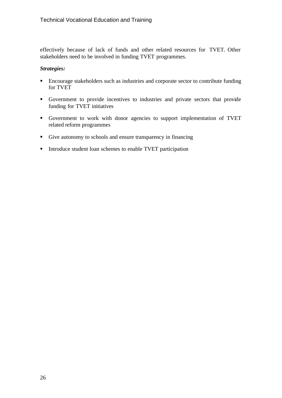effectively because of lack of funds and other related resources for TVET. Other stakeholders need to be involved in funding TVET programmes.

#### *Strategies:*

- **Encourage stakeholders such as industries and corporate sector to contribute funding** for TVET
- ß Government to provide incentives to industries and private sectors that provide funding for TVET initiatives
- Government to work with donor agencies to support implementation of TVET related reform programmes
- Give autonomy to schools and ensure transparency in financing
- Introduce student loan schemes to enable TVET participation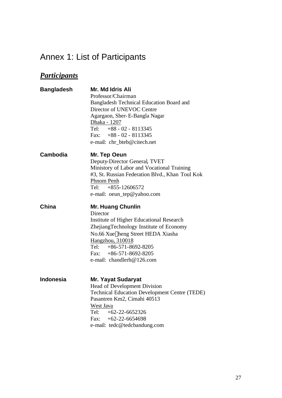## Annex 1: List of Participants

### *Participants*

| <b>Bangladesh</b> | Mr. Md Idris Ali                                     |  |  |
|-------------------|------------------------------------------------------|--|--|
|                   | Professor/Chairman                                   |  |  |
|                   | Bangladesh Technical Education Board and             |  |  |
|                   | Director of UNEVOC Centre                            |  |  |
|                   | Agargaon, Sher-E-Bangla Nagar                        |  |  |
|                   | <u>Dhaka - 1207</u>                                  |  |  |
|                   | Tel: $+88 - 02 - 8113345$                            |  |  |
|                   | Fax: $+88 - 02 - 8113345$                            |  |  |
|                   | e-mail: chr_bteb@citech.net                          |  |  |
| Cambodia          | Mr. Tep Oeun                                         |  |  |
|                   | Deputy-Director General, TVET                        |  |  |
|                   | Ministory of Labor and Vocational Training           |  |  |
|                   | #3, St. Russian Federation Blvd., Khan Toul Kok      |  |  |
|                   | Phnom Penh                                           |  |  |
|                   | Tel: $+855-12606572$                                 |  |  |
|                   | e-mail: oeun_tep@yahoo.com                           |  |  |
| China             | <b>Mr. Huang Chunlin</b>                             |  |  |
|                   | Director                                             |  |  |
|                   | <b>Institute of Higher Educational Research</b>      |  |  |
|                   | ZhejiangTechnology Institute of Economy              |  |  |
|                   | No.66 Xue heng Street HEDA Xiasha                    |  |  |
|                   | Hangzhou, 310018                                     |  |  |
|                   | Tel: $+86-571-8692-8205$                             |  |  |
|                   | Fax: $+86-571-8692-8205$                             |  |  |
|                   | e-mail: chandlerh@126.com                            |  |  |
|                   |                                                      |  |  |
| <b>Indonesia</b>  | <b>Mr. Yayat Sudaryat</b>                            |  |  |
|                   | Head of Development Division                         |  |  |
|                   | <b>Technical Education Development Centre (TEDE)</b> |  |  |
|                   | Pasantren Km2, Cimahi 40513                          |  |  |
|                   | West Java                                            |  |  |
|                   | Tel: $+62-22-6652326$                                |  |  |
|                   | Fax: $+62-22-6654698$                                |  |  |
|                   | e-mail: tedc@tedcbandung.com                         |  |  |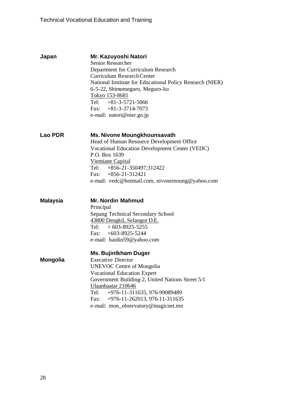| Japan           | Mr. Kazuyoshi Natori<br><b>Senior Researcher</b><br>Department for Curriculum Research<br><b>Curriculum Research Center</b><br>National Institute for Educational Policy Research (NIER)<br>6-5-22, Shimomeguro, Meguro-ku<br>Tokyo 153-8681<br>Tel: $+81-3-5721-5066$<br>Fax: $+81-3-3714-7073$<br>e-mail: natori@nier.go.jp        |
|-----------------|--------------------------------------------------------------------------------------------------------------------------------------------------------------------------------------------------------------------------------------------------------------------------------------------------------------------------------------|
| <b>Lao PDR</b>  | Ms. Nivone Moungkhounsavath<br>Head of Human Resource Development Office<br>Vocational Education Development Center (VEDC)<br>P.O. Box 1639<br>Vientiane Capital<br>Tel: $+856-21-350497;312422$<br>Fax: $+856-21-312421$<br>e-mail: vedc@hotmail.com, nivonemoung@yahoo.com                                                         |
| <b>Malaysia</b> | <b>Mr. Nordin Mahmud</b><br>Principal<br>Sepang Technical Secondary School<br>43800 Dengkil, Selangor D.E.<br>Tel: $+603-8925-5255$<br>Fax: $+603-8925-5244$<br>e-mail: haidin59@yahoo.com                                                                                                                                           |
| <b>Mongolia</b> | <b>Ms. Bujinlkham Duger</b><br><b>Executive Director</b><br><b>UNEVOC Centre of Mongolia</b><br><b>Vocational Education Expert</b><br>Government Building-2, United Nations Street 5/1<br>Ulaanbaatar 210646<br>Tel:<br>+976-11-311635, 976-99089489<br>+976-11-262013, 976-11-311635<br>Fax:<br>e-mail: mon_observatory@magicnet.mn |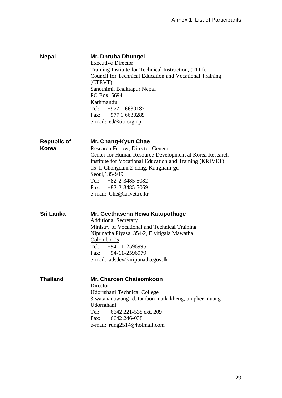| <b>Nepal</b> | Mr. Dhruba Dhungel                                      |
|--------------|---------------------------------------------------------|
|              | <b>Executive Director</b>                               |
|              | Training Institute for Technical Instruction, (TITI),   |
|              | Council for Technical Education and Vocational Training |
|              | (CTEVT)                                                 |
|              | Sanothimi, Bhaktapur Nepal                              |
|              | PO Box 5694                                             |
|              | Kathmandu                                               |
|              | Tel: $+977$ 1 6630187                                   |
|              | Fax: $+977$ 1 6630289                                   |
|              | e-mail: ed@titi.org.np                                  |

**Republic of Korea Mr. Chang-Kyun Chae** Research Fellow, Director General Center for Human Resource Development at Korea Research Institute for Vocational Education and Training (KRIVET) 15-1, Chongdam 2-dong, Kangnam-gu Seoul,135-949 Tel: +82-2-3485-5082 Fax:  $+82-2-3485-5069$ e-mail: Che@krivet.re.kr

**Sri Lanka Mr. Geethasena Hewa Katupothage** Additional Secretary Ministry of Vocational and Technical Training Nipunatha Piyasa, 354/2, Elvitigala Mawatha Colombo-05 Tel:  $+94-11-2596995$ Fax: +94-11-2596979 e-mail: adsdev@nipunatha.gov.lk

| <b>Thailand</b> | <b>Mr. Charoen Chaisomkoon</b>                     |
|-----------------|----------------------------------------------------|
|                 | Director                                           |
|                 | Udornthani Technical College                       |
|                 | 3 watananuwong rd. tambon mark-kheng, ampher muang |
|                 | Udornthani                                         |
|                 | Tel: $+6642221-538$ ext. 209                       |
|                 | Fax: $+6642246-038$                                |
|                 | e-mail: rung2514@hotmail.com                       |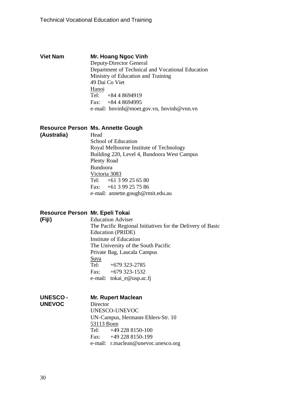#### **Viet Nam Mr. Hoang Ngoc Vinh**

Deputy-Director General Department of Technical and Vocational Education Ministry of Education and Training 49 Dai Co Viet Hanoi Tel: +84 4 8694919 Fax: +84 4 8694995 e-mail: hnvinh@moet.gov.vn, hnvinh@vnn.vn

#### **Resource Person Ms. Annette Gough**

**(Australia)**

**(Fiji)**

Head School of Education Royal Melbourne Institute of Technology Building 220, Level 4, Bundoora West Campus Plenty Road Bundoora Victoria 3083 Tel:  $+6139256580$ Fax: +61 3 99 25 75 86 e-mail: annette.gough@rmit.edu.au

#### **Resource Person Mr. Epeli Tokai**

Education Adviser The Pacific Regional Initiatives for the Delivery of Basic Education (PRIDE) Institute of Education The University of the South Pacific Private Bag, Laucala Campus Suva Tel: +679 323-2785 Fax:  $+679323-1532$ e-mail: tokai\_e@usp.ac.fj

| <b>UNESCO-</b> | <b>Mr. Rupert Maclean</b>           |  |  |
|----------------|-------------------------------------|--|--|
| <b>UNEVOC</b>  | Director                            |  |  |
|                | UNESCO-UNEVOC                       |  |  |
|                | UN-Campus, Hermann-Ehlers-Str. 10   |  |  |
|                | 53113 Bonn                          |  |  |
|                | Tel: $+49\,228\,8150-100$           |  |  |
|                | Fax: $+492288150-199$               |  |  |
|                | e-mail: r.maclean@unevoc.unesco.org |  |  |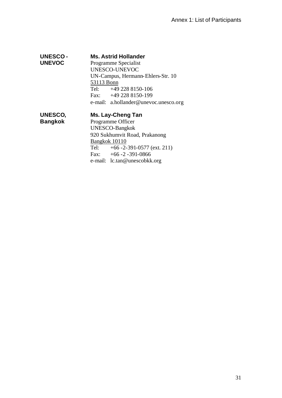#### **UNESCO - Ms. Astrid Hollander**

Programme Specialist UNESCO-UNEVOC UN-Campus, Hermann-Ehlers-Str. 10 53113 Bonn Tel: +49 228 8150-106 Fax: +49 228 8150-199 e-mail: a.hollander@unevoc.unesco.org

**UNESCO, Bangkok**

**UNEVOC**

#### **Ms. Lay-Cheng Tan**

Programme Officer UNESCO-Bangkok 920 Sukhumvit Road, Prakanong Bangkok 10110 Tel:  $+66 - 2 - 391 - 0577$  (ext. 211) Fax:  $+66 - 2 - 391 - 0866$ e-mail: lc.tan@unescobkk.org